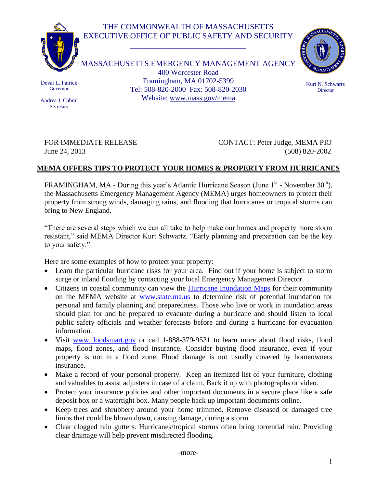## THE COMMONWEALTH OF MASSACHUSETTS EXECUTIVE OFFICE OF PUBLIC SAFETY AND SECURITY

\_\_\_\_\_\_\_\_\_\_\_\_\_\_\_\_\_\_\_\_\_\_\_\_\_\_\_\_\_



Deval L. Patrick Governor Andrea J. Cabral **Secretary** 

MASSACHUSETTS EMERGENCY MANAGEMENT AGENCY 400 Worcester Road Framingham, MA 01702-5399 Tel: 508-820-2000 Fax: 508-820-2030 Website: [www.mass.gov/mema](http://www.mass.gov/mema)



Kurt N. Schwartz **Director** 

FOR IMMEDIATE RELEASE CONTACT: Peter Judge, MEMA PIO June 24, 2013 (508) 820-2002

## **MEMA OFFERS TIPS TO PROTECT YOUR HOMES & PROPERTY FROM HURRICANES**

FRAMINGHAM, MA - During this year's Atlantic Hurricane Season (June  $1<sup>st</sup>$  - November  $30<sup>th</sup>$ ), the Massachusetts Emergency Management Agency (MEMA) urges homeowners to protect their property from strong winds, damaging rains, and flooding that hurricanes or tropical storms can bring to New England.

"There are several steps which we can all take to help make our homes and property more storm resistant," said MEMA Director Kurt Schwartz. "Early planning and preparation can be the key to your safety."

Here are some examples of how to protect your property:

- Learn the particular hurricane risks for your area. Find out if your home is subject to storm surge or inland flooding by contacting your local Emergency Management Director.
- Citizens in coastal community can view the [Hurricane Inundation Maps](http://www.mass.gov/eopss/agencies/mema/hurricanes/hurricane-inundation-maps.html) for their community on the MEMA website at [www.state.ma.us](http://www.state.ma.us/) to determine risk of potential inundation for personal and family planning and preparedness. Those who live or work in inundation areas should plan for and be prepared to evacuate during a hurricane and should listen to local public safety officials and weather forecasts before and during a hurricane for evacuation information.
- Visit [www.floodsmart.gov](http://www.floodsmart.gov/) or call 1-888-379-9531 to learn more about flood risks, flood maps, flood zones, and flood insurance. Consider buying flood insurance, even if your property is not in a flood zone. Flood damage is not usually covered by homeowners insurance.
- Make a record of your personal property. Keep an itemized list of your furniture, clothing and valuables to assist adjusters in case of a claim. Back it up with photographs or video.
- Protect your insurance policies and other important documents in a secure place like a safe deposit box or a watertight box. Many people back up important documents online.
- Keep trees and shrubbery around your home trimmed. Remove diseased or damaged tree limbs that could be blown down, causing damage, during a storm.
- Clear clogged rain gutters. Hurricanes/tropical storms often bring torrential rain. Providing clear drainage will help prevent misdirected flooding.